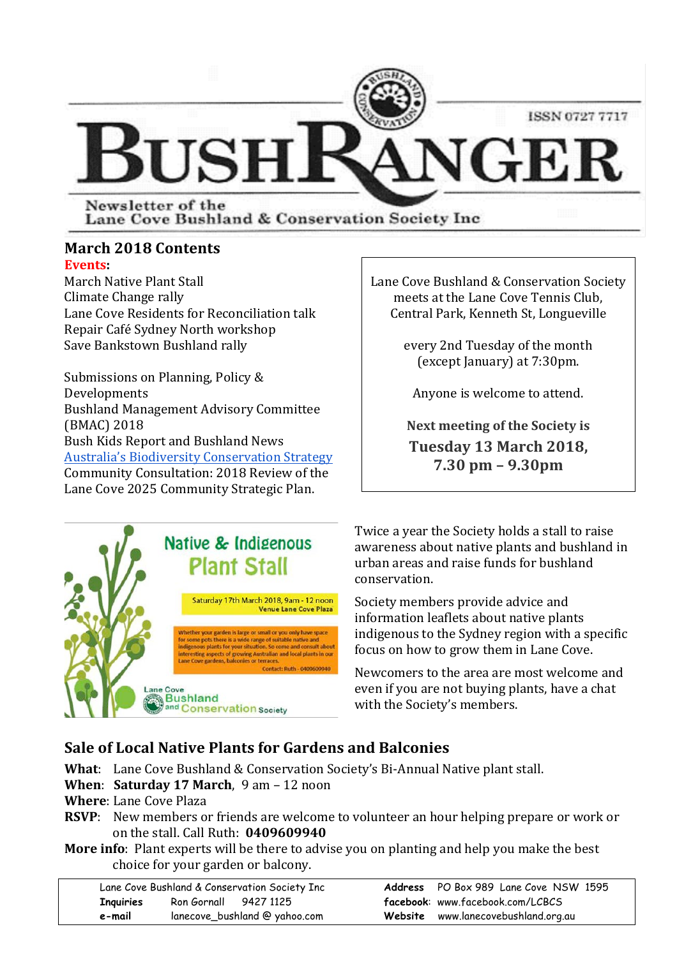

Newsletter of the Lane Cove Bushland & Conservation Society Inc.

# **March 2018 Contents**

**Events:** 

March Native Plant Stall Climate Change rally Lane Cove Residents for Reconciliation talk Repair Café Sydney North workshop Save Bankstown Bushland rally

Submissions on Planning, Policy & Developments Bushland Management Advisory Committee (BMAC) 2018 Bush Kids Report and Bushland News Australia's Biodiversity Conservation Strategy Community Consultation: 2018 Review of the Lane Cove 2025 Community Strategic Plan.

Native & Indigenous **Plant Stall** Saturday 17th March 2018, 9am - 12 noon Venue Lane Cove Plaza er your garden is large or small or you only have space some pots there is a wide range of suitable native and<br>genous plants for your situation. So come and consult tuation, so come and consuit abo<br>ig Australian and local plants in o Contact: Ruth - 0409 Lane Cove **Bushland** and Conservation Society

Lane Cove Bushland & Conservation Society meets at the Lane Cove Tennis Club, Central Park, Kenneth St, Longueville

> every 2nd Tuesday of the month (except January) at 7:30pm.

Anyone is welcome to attend.

**Next meeting of the Society is Tuesday 13 March 2018, 7.30 pm – 9.30pm**

Twice a year the Society holds a stall to raise awareness about native plants and bushland in urban areas and raise funds for bushland conservation. 

Society members provide advice and information leaflets about native plants indigenous to the Sydney region with a specific focus on how to grow them in Lane Cove.

Newcomers to the area are most welcome and even if you are not buying plants, have a chat with the Society's members.

## **Sale of Local Native Plants for Gardens and Balconies**

**What:** Lane Cove Bushland & Conservation Society's Bi-Annual Native plant stall.

**When: Saturday 17 March**, 9 am – 12 noon

**Where:** Lane Cove Plaza

- **RSVP**: New members or friends are welcome to volunteer an hour helping prepare or work or on the stall. Call Ruth: **0409609940**
- **More info**: Plant experts will be there to advise you on planting and help you make the best choice for your garden or balcony.

| Lane Cove Bushland & Conservation Society Inc |                               |  | Address PO Box 989 Lane Cove NSW 1595 |
|-----------------------------------------------|-------------------------------|--|---------------------------------------|
| <b>Inquiries</b>                              | Ron Gornall 9427 1125         |  | facebook: www.facebook.com/LCBCS      |
| e-mail                                        | lanecove_bushland @ yahoo.com |  | Website www.lanecovebushland.org.au   |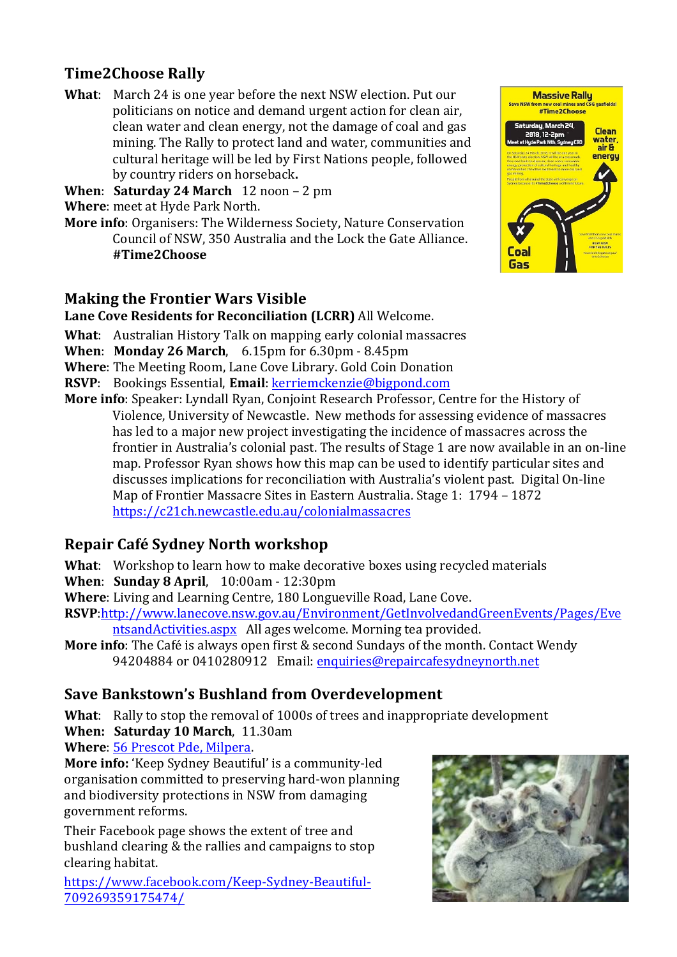# **Time2Choose Rally**

**What:** March 24 is one vear before the next NSW election. Put our politicians on notice and demand urgent action for clean air. clean water and clean energy, not the damage of coal and gas mining. The Rally to protect land and water, communities and cultural heritage will be led by First Nations people, followed by country riders on horseback**.**

**When: Saturday 24 March** 12 noon – 2 pm **Where:** meet at Hyde Park North.

**More info**: Organisers: The Wilderness Society, Nature Conservation Council of NSW, 350 Australia and the Lock the Gate Alliance. **#Time2Choose**

### **Making the Frontier Wars Visible**

### **Lane Cove Residents for Reconciliation (LCRR)** All Welcome.

- **What:** Australian History Talk on mapping early colonial massacres
- **When: Monday 26 March, 6.15pm for 6.30pm 8.45pm**
- **Where:** The Meeting Room, Lane Cove Library. Gold Coin Donation
- **RSVP**: Bookings Essential, **Email**: **kerriemckenzie@bigpond.com**
- **More info**: Speaker: Lyndall Ryan, Conjoint Research Professor, Centre for the History of Violence, University of Newcastle. New methods for assessing evidence of massacres has led to a major new project investigating the incidence of massacres across the frontier in Australia's colonial past. The results of Stage 1 are now available in an on-line map. Professor Ryan shows how this map can be used to identify particular sites and discusses implications for reconciliation with Australia's violent past. Digital On-line Map of Frontier Massacre Sites in Eastern Australia. Stage 1: 1794 – 1872 https://c21ch.newcastle.edu.au/colonialmassacres

## **Repair Café Sydney North workshop**

**What:** Workshop to learn how to make decorative boxes using recycled materials

- **When: Sunday 8 April,** 10:00am 12:30pm
- **Where**: Living and Learning Centre, 180 Longueville Road, Lane Cove.
- **RSVP**:http://www.lanecove.nsw.gov.au/Environment/GetInvolvedandGreenEvents/Pages/Eve ntsandActivities.aspx All ages welcome. Morning tea provided.
- **More info**: The Café is always open first & second Sundays of the month. Contact Wendy 94204884 or 0410280912 Email: enquiries@repaircafesydneynorth.net

### **Save Bankstown's Bushland from Overdevelopment**

**What:** Rally to stop the removal of 1000s of trees and inappropriate development

- **When: Saturday 10 March**, 11.30am
- **Where:** 56 Prescot Pde, Milpera.

**More info:** 'Keep Sydney Beautiful' is a community-led organisation committed to preserving hard-won planning and biodiversity protections in NSW from damaging government reforms.

Their Facebook page shows the extent of tree and bushland clearing & the rallies and campaigns to stop clearing habitat.

https://www.facebook.com/Keep-Sydney-Beautiful-709269359175474/



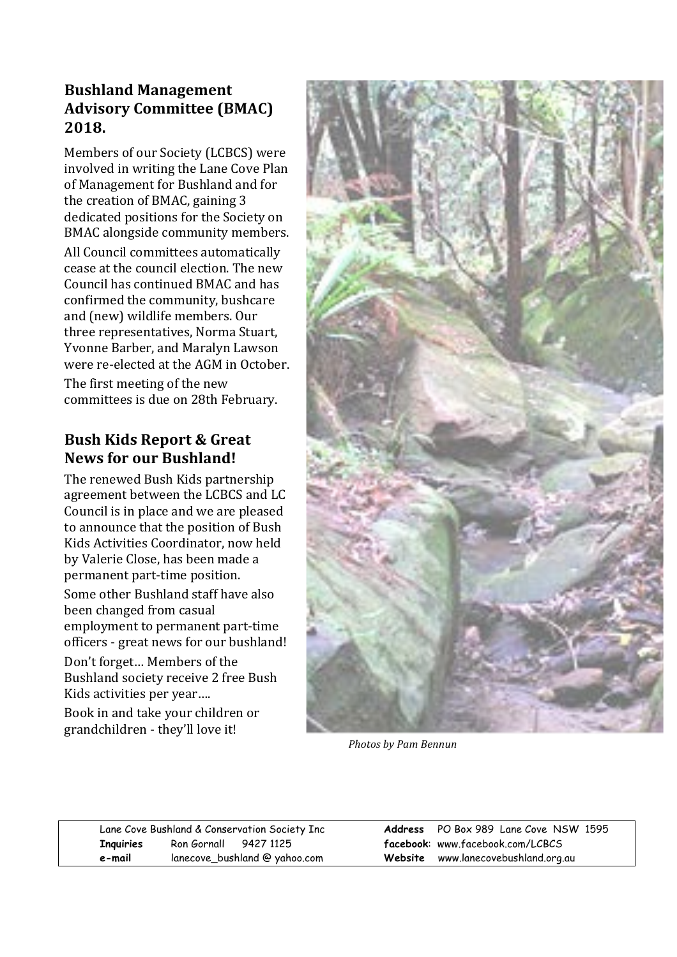### **Bushland Management Advisory Committee (BMAC) 2018.**

Members of our Society (LCBCS) were involved in writing the Lane Cove Plan of Management for Bushland and for the creation of BMAC, gaining 3 dedicated positions for the Society on BMAC alongside community members.

All Council committees automatically cease at the council election. The new Council has continued BMAC and has confirmed the community, bushcare and (new) wildlife members. Our three representatives, Norma Stuart, Yvonne Barber, and Maralyn Lawson were re-elected at the AGM in October.

The first meeting of the new committees is due on 28th February.

### **Bush Kids Report & Great News for our Bushland!**

The renewed Bush Kids partnership agreement between the LCBCS and LC Council is in place and we are pleased to announce that the position of Bush Kids Activities Coordinator, now held by Valerie Close, has been made a permanent part-time position.

Some other Bushland staff have also been changed from casual employment to permanent part-time officers - great news for our bushland!

Don't forget... Members of the Bushland society receive 2 free Bush Kids activities per year....

Book in and take your children or grandchildren - they'll love it!



*Photos by Pam Bennun*

Lane Cove Bushland & Conservation Society Inc **Address** PO Box 989 Lane Cove NSW 1595 **Inquiries** Ron Gornall 9427 1125 **facebook**: www.facebook.com/LCBCS **e-mail** lanecove\_bushland @ yahoo.com **Website** www.lanecovebushland.org.au